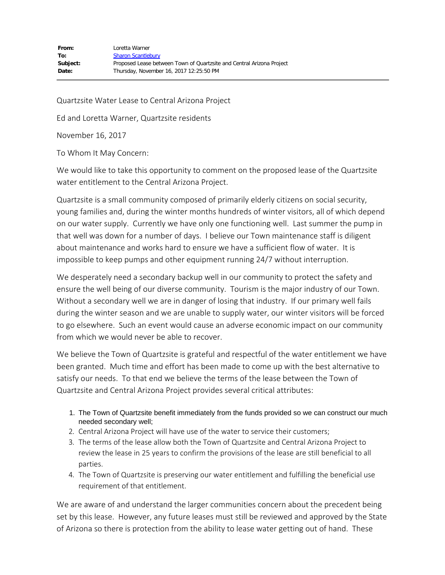Quartzsite Water Lease to Central Arizona Project

Ed and Loretta Warner, Quartzsite residents

November 16, 2017

To Whom It May Concern:

We would like to take this opportunity to comment on the proposed lease of the Quartzsite water entitlement to the Central Arizona Project.

Quartzsite is a small community composed of primarily elderly citizens on social security, young families and, during the winter months hundreds of winter visitors, all of which depend on our water supply. Currently we have only one functioning well. Last summer the pump in that well was down for a number of days. I believe our Town maintenance staff is diligent about maintenance and works hard to ensure we have a sufficient flow of water. It is impossible to keep pumps and other equipment running 24/7 without interruption.

We desperately need a secondary backup well in our community to protect the safety and ensure the well being of our diverse community. Tourism is the major industry of our Town. Without a secondary well we are in danger of losing that industry. If our primary well fails during the winter season and we are unable to supply water, our winter visitors will be forced to go elsewhere. Such an event would cause an adverse economic impact on our community from which we would never be able to recover.

We believe the Town of Quartzsite is grateful and respectful of the water entitlement we have been granted. Much time and effort has been made to come up with the best alternative to satisfy our needs. To that end we believe the terms of the lease between the Town of Quartzsite and Central Arizona Project provides several critical attributes:

- 1. The Town of Quartzsite benefit immediately from the funds provided so we can construct our much needed secondary well;
- 2. Central Arizona Project will have use of the water to service their customers;
- 3. The terms of the lease allow both the Town of Quartzsite and Central Arizona Project to review the lease in 25 years to confirm the provisions of the lease are still beneficial to all parties.
- 4. The Town of Quartzsite is preserving our water entitlement and fulfilling the beneficial use requirement of that entitlement.

We are aware of and understand the larger communities concern about the precedent being set by this lease. However, any future leases must still be reviewed and approved by the State of Arizona so there is protection from the ability to lease water getting out of hand. These